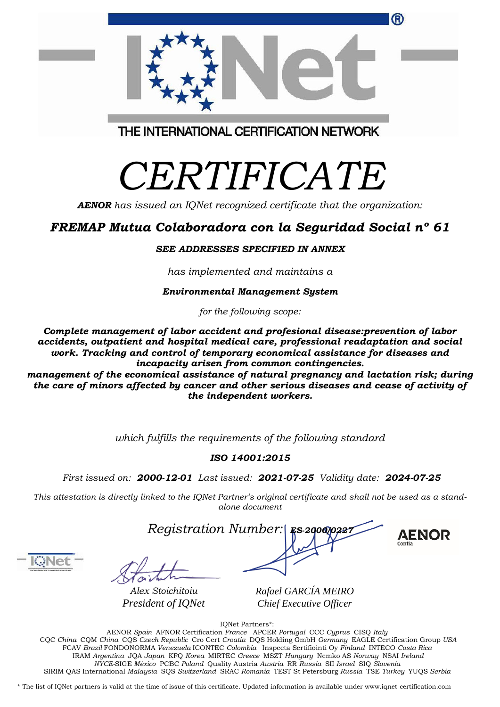| the independent workers. |                                                           |  |
|--------------------------|-----------------------------------------------------------|--|
|                          |                                                           |  |
|                          | which fulfills the requirements of the following standard |  |

## *ISO 14001:2015*

*First issued on: 2000-12-01 Last issued: 2021-07-25 Validity date: 2024-07-25*

This attestation is directly linked to the IQNet Partner's original certificate and shall not be used as a stand*alone document*

*Registration Number:* 

**AENOR** 

®

*Alex Stoichitoiu President of IQNet* *Rafael GARCÍA MEIRO Chief Executive Officer*

IQNet Partners\*:

AENOR *Spain* AFNOR Certification *France* APCER *Portugal* CCC *Cyprus* CISQ *Italy* CQC *China* CQM *China* CQS *Czech Republic* Cro Cert *Croatia* DQS Holding GmbH *Germany* EAGLE Certification Group *USA* FCAV *Brazil* FONDONORMA *Venezuela* ICONTEC *Colombia* Inspecta Sertifiointi Oy *Finland* INTECO *Costa Rica* IRAM *Argentina* JQA *Japan* KFQ *Korea* MIRTEC *Greece* MSZT *Hungary* Nemko AS *Norway* NSAI *Ireland NYCE-*SIGE *México* PCBC *Poland* Quality Austria *Austria* RR *Russia* SII *Israel* SIQ *Slovenia* SIRIM QAS International *Malaysia* SQS *Switzerland* SRAC *Romania* TEST St Petersburg *Russia* TSE *Turkey* YUQS *Serbia*

\* The list of IQNet partners is valid at the time of issue of this certificate. Updated information is available under www.iqnet-certification.com

# *CERTIFICATE*

THE INTERNATIONAL CERTIFICATION NETWORK

*AENOR has issued an IQNet recognized certificate that the organization:*

# *FREMAP Mutua Colaboradora con la Seguridad Social nº 61*

## *SEE ADDRESSES SPECIFIED IN ANNEX*

*has implemented and maintains a*

*Environmental Management System*

*for the following scope:*

*Complete management of labor accident and profesional disease:prevention of labor accidents, outpatient and hospital medical care, professional readaptation and social work. Tracking and control of temporary economical assistance for diseases and incapacity arisen from common contingencies.*

*management of the economical assistance of natural pregnancy and lactation risk; during the care of minors affected by cancer and other serious diseases and cease of activity of the independent workers.*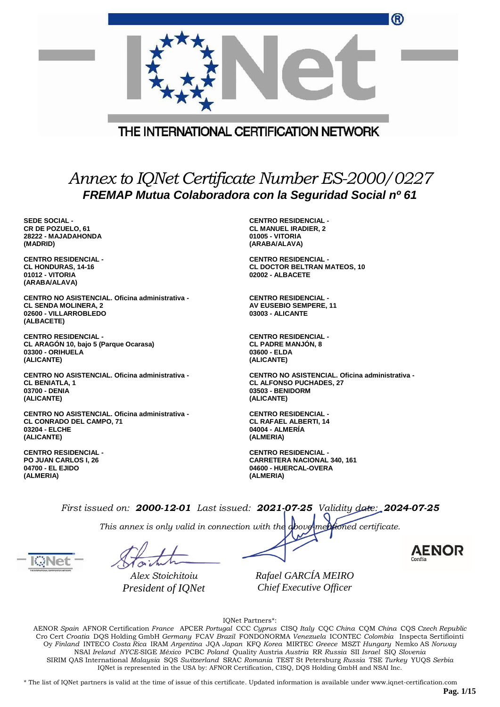|                                                                                                                       | ®                                                                                                                   |
|-----------------------------------------------------------------------------------------------------------------------|---------------------------------------------------------------------------------------------------------------------|
|                                                                                                                       | THE INTERNATIONAL CERTIFICATION NETWORK                                                                             |
|                                                                                                                       |                                                                                                                     |
|                                                                                                                       | Annex to IQNet Certificate Number ES-2000/0227<br>FREMAP Mutua Colaboradora con la Seguridad Social nº 61           |
| <b>SEDE SOCIAL -</b><br><b>CR DE POZUELO, 61</b><br>28222 - MAJADAHONDA<br>(MADRID)                                   | <b>CENTRO RESIDENCIAL -</b><br><b>CL MANUEL IRADIER, 2</b><br>01005 - VITORIA<br>(ARABA/ALAVA)                      |
| <b>CENTRO RESIDENCIAL -</b><br><b>CL HONDURAS, 14-16</b><br>01012 - VITORIA<br>(ARABA/ALAVA)                          | <b>CENTRO RESIDENCIAL -</b><br><b>CL DOCTOR BELTRAN MATEOS, 10</b><br>02002 - ALBACETE                              |
| CENTRO NO ASISTENCIAL. Oficina administrativa -<br><b>CL SENDA MOLINERA, 2</b><br>02600 - VILLARROBLEDO<br>(ALBACETE) | <b>CENTRO RESIDENCIAL -</b><br>AV EUSEBIO SEMPERE, 11<br><b>03003 - ALICANTE</b>                                    |
| <b>CENTRO RESIDENCIAL -</b><br>CL ARAGÓN 10, bajo 5 (Parque Ocarasa)<br>03300 - ORIHUELA<br>(ALICANTE)                | <b>CENTRO RESIDENCIAL -</b><br><b>CL PADRE MANJON, 8</b><br>03600 - ELDA<br>(ALICANTE)                              |
| CENTRO NO ASISTENCIAL. Oficina administrativa -<br><b>CL BENIATLA, 1</b><br>03700 - DENIA<br>(ALICANTE)               | CENTRO NO ASISTENCIAL, Oficina administrativa -<br><b>CL ALFONSO PUCHADES, 27</b><br>03503 - BENIDORM<br>(ALICANTE) |
| CENTRO NO ASISTENCIAL. Oficina administrativa -<br>CL CONRADO DEL CAMPO, 71<br>03204 - ELCHE<br>(ALICANTE)            | <b>CENTRO RESIDENCIAL -</b><br><b>CL RAFAEL ALBERTI, 14</b><br>04004 - ALMERIA<br>(ALMERIA)                         |
| <b>CENTRO RESIDENCIAL -</b><br><b>PO JUAN CARLOS I, 26</b><br>04700 - EL EJIDO                                        | <b>CENTRO RESIDENCIAL -</b><br><b>CARRETERA NACIONAL 340, 161</b><br>04600 - HUERCAL-OVERA                          |

**(ALMERIA)**

*This annex is only valid in connection with the above-mentioned certificate.*

**(ALMERIA)**

*Alex Stoichitoiu President of IQNet*

*Rafael GARCÍA MEIRO Chief Executive Officer*

IQNet Partners\*:

AENOR *Spain* AFNOR Certification *France* APCER *Portugal* CCC *Cyprus* CISQ *Italy* CQC *China* CQM *China* CQS *Czech Republic* Cro Cert *Croatia* DQS Holding GmbH *Germany* FCAV *Brazil* FONDONORMA *Venezuela* ICONTEC *Colombia* Inspecta Sertifiointi Oy *Finland* INTECO *Costa Rica* IRAM *Argentina* JQA *Japan* KFQ *Korea* MIRTEC *Greece* MSZT *Hungary* Nemko AS *Norway* NSAI *Ireland NYCE-*SIGE *México* PCBC *Poland* Quality Austria *Austria* RR *Russia* SII *Israel* SIQ *Slovenia* SIRIM QAS International *Malaysia* SQS *Switzerland* SRAC *Romania* TEST St Petersburg *Russia* TSE *Turkey* YUQS *Serbia* IQNet is represented in the USA by: AFNOR Certification, CISQ, DQS Holding GmbH and NSAI Inc.

\* The list of IQNet partners is valid at the time of issue of this certificate. Updated information is available under www.iqnet-certification.com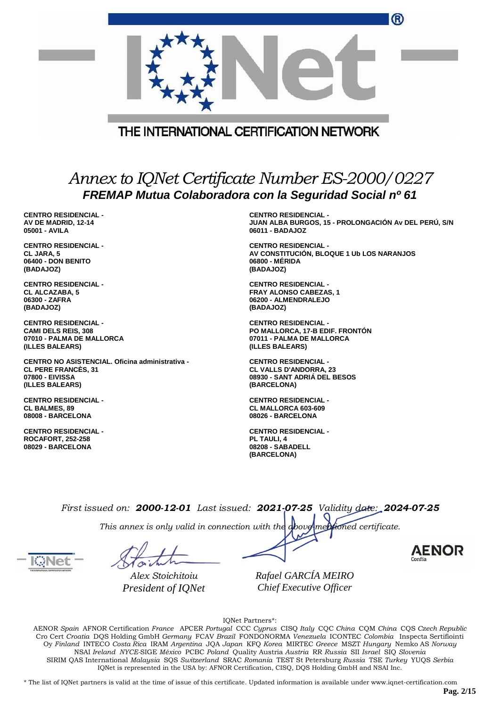|                                                                                                                     |  | ®                                                                                                              |  |
|---------------------------------------------------------------------------------------------------------------------|--|----------------------------------------------------------------------------------------------------------------|--|
|                                                                                                                     |  | THE INTERNATIONAL CERTIFICATION NETWORK                                                                        |  |
|                                                                                                                     |  | Annex to IQNet Certificate Number ES-2000/0227                                                                 |  |
|                                                                                                                     |  | FREMAP Mutua Colaboradora con la Seguridad Social nº 61                                                        |  |
| <b>CENTRO RESIDENCIAL -</b><br>AV DE MADRID, 12-14<br>05001 - AVILA                                                 |  | <b>CENTRO RESIDENCIAL -</b><br>JUAN ALBA BURGOS, 15 - PROLONGACIÓN Av DEL PERÚ, S/N<br>06011 - BADAJOZ         |  |
| <b>CENTRO RESIDENCIAL -</b><br>CL JARA, 5<br>06400 - DON BENITO<br>(BADAJOZ)                                        |  | <b>CENTRO RESIDENCIAL -</b><br>AV CONSTITUCIÓN, BLOQUE 1 Ub LOS NARANJOS<br>06800 - MERIDA<br>(BADAJOZ)        |  |
| <b>CENTRO RESIDENCIAL -</b><br>CL ALCAZABA, 5<br>06300 - ZAFRA<br>(BADAJOZ)                                         |  | <b>CENTRO RESIDENCIAL -</b><br><b>FRAY ALONSO CABEZAS, 1</b><br>06200 - ALMENDRALEJO<br>(BADAJOZ)              |  |
| <b>CENTRO RESIDENCIAL -</b><br><b>CAMI DELS REIS, 308</b><br>07010 - PALMA DE MALLORCA<br>(ILLES BALEARS)           |  | <b>CENTRO RESIDENCIAL -</b><br>PO MALLORCA, 17-B EDIF. FRONTON<br>07011 - PALMA DE MALLORCA<br>(ILLES BALEARS) |  |
| CENTRO NO ASISTENCIAL. Oficina administrativa -<br><b>CL PERE FRANCES, 31</b><br>07800 - EIVISSA<br>(ILLES BALEARS) |  | <b>CENTRO RESIDENCIAL -</b><br><b>CL VALLS D'ANDORRA, 23</b><br>08930 - SANT ADRIA DEL BESOS<br>(BARCELONA)    |  |
| <b>CENTRO RESIDENCIAL -</b><br><b>CL BALMES, 89</b><br>08008 - BARCELONA                                            |  | <b>CENTRO RESIDENCIAL -</b><br><b>CL MALLORCA 603-609</b><br>08026 - BARCELONA                                 |  |
| <b>CENTRO RESIDENCIAL -</b><br><b>ROCAFORT, 252-258</b><br>08029 - BARCELONA                                        |  | <b>CENTRO RESIDENCIAL -</b><br>PL TAULI, 4<br>08208 - SABADELL<br>(BARCELONA)                                  |  |
|                                                                                                                     |  | First issued on: 2000-12-01 Last issued: 2021-07-25 Validity date: 2024-07-25                                  |  |
| This annex is only valid in connection with the above mentioned certificate.                                        |  |                                                                                                                |  |



*Alex Stoichitoiu President of IQNet*

*Rafael GARCÍA MEIRO Chief Executive Officer*

IQNet Partners\*:

AENOR *Spain* AFNOR Certification *France* APCER *Portugal* CCC *Cyprus* CISQ *Italy* CQC *China* CQM *China* CQS *Czech Republic* Cro Cert *Croatia* DQS Holding GmbH *Germany* FCAV *Brazil* FONDONORMA *Venezuela* ICONTEC *Colombia* Inspecta Sertifiointi Oy *Finland* INTECO *Costa Rica* IRAM *Argentina* JQA *Japan* KFQ *Korea* MIRTEC *Greece* MSZT *Hungary* Nemko AS *Norway* NSAI *Ireland NYCE-*SIGE *México* PCBC *Poland* Quality Austria *Austria* RR *Russia* SII *Israel* SIQ *Slovenia* SIRIM QAS International *Malaysia* SQS *Switzerland* SRAC *Romania* TEST St Petersburg *Russia* TSE *Turkey* YUQS *Serbia* IQNet is represented in the USA by: AFNOR Certification, CISQ, DQS Holding GmbH and NSAI Inc.

\* The list of IQNet partners is valid at the time of issue of this certificate. Updated information is available under www.iqnet-certification.com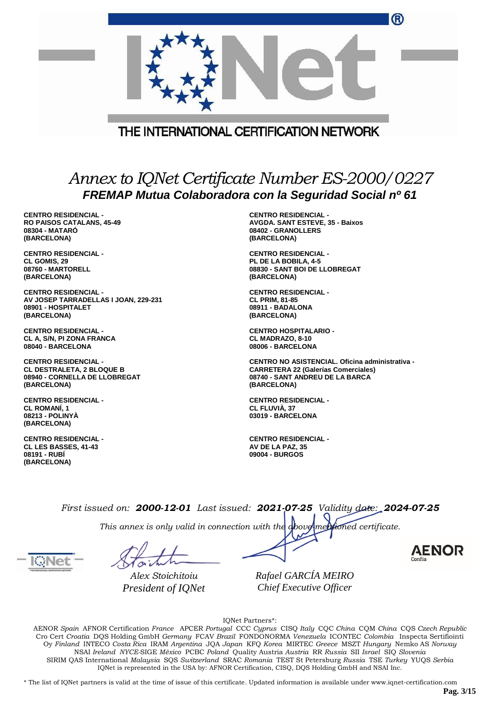|                                                                                                           | THE INTERNATIONAL CERTIFICATION NETWORK         |  |  |
|-----------------------------------------------------------------------------------------------------------|-------------------------------------------------|--|--|
| Annex to IQNet Certificate Number ES-2000/0227<br>FREMAP Mutua Colaboradora con la Seguridad Social nº 61 |                                                 |  |  |
| <b>CENTRO RESIDENCIAL -</b>                                                                               | <b>CENTRO RESIDENCIAL -</b>                     |  |  |
| <b>RO PAISOS CATALANS, 45-49</b>                                                                          | <b>AVGDA. SANT ESTEVE, 35 - Baixos</b>          |  |  |
| 08304 - MATARO                                                                                            | 08402 - GRANOLLERS                              |  |  |
| (BARCELONA)                                                                                               | (BARCELONA)                                     |  |  |
| <b>CENTRO RESIDENCIAL -</b>                                                                               | <b>CENTRO RESIDENCIAL -</b>                     |  |  |
| <b>CL GOMIS, 29</b>                                                                                       | PL DE LA BOBILA, 4-5                            |  |  |
| 08760 - MARTORELL                                                                                         | 08830 - SANT BOI DE LLOBREGAT                   |  |  |
| (BARCELONA)                                                                                               | (BARCELONA)                                     |  |  |
| <b>CENTRO RESIDENCIAL -</b>                                                                               | <b>CENTRO RESIDENCIAL -</b>                     |  |  |
| AV JOSEP TARRADELLAS I JOAN, 229-231                                                                      | <b>CL PRIM, 81-85</b>                           |  |  |
| 08901 - HOSPITALET                                                                                        | 08911 - BADALONA                                |  |  |
| (BARCELONA)                                                                                               | (BARCELONA)                                     |  |  |
| <b>CENTRO RESIDENCIAL -</b>                                                                               | <b>CENTRO HOSPITALARIO -</b>                    |  |  |
| CL A, S/N, PI ZONA FRANCA                                                                                 | CL MADRAZO, 8-10                                |  |  |
| 08040 - BARCELONA                                                                                         | 08006 - BARCELONA                               |  |  |
| <b>CENTRO RESIDENCIAL -</b>                                                                               | CENTRO NO ASISTENCIAL. Oficina administrativa - |  |  |
| <b>CL DESTRALETA, 2 BLOQUE B</b>                                                                          | <b>CARRETERA 22 (Galerías Comerciales)</b>      |  |  |
| 08940 - CORNELLA DE LLOBREGAT                                                                             | 08740 - SANT ANDREU DE LA BARCA                 |  |  |
| (BARCELONA)                                                                                               | (BARCELONA)                                     |  |  |

**CENTRO RESIDENCIAL - CL ROMANÍ, 1 08213 - POLINYÀ (BARCELONA)**

**CENTRO RESIDENCIAL - CL LES BASSES, 41-43 08191 - RUBÍ (BARCELONA)**

**03019 - BARCELONA CENTRO RESIDENCIAL -**

**CENTRO RESIDENCIAL -**

**D** 

**CL FLUVIÀ, 37**

**AV DE LA PAZ, 35 09004 - BURGOS**

*First issued on: 2000-12-01 Last issued: 2021-07-25 Validity date: 2024-07-25*

*This annex is only valid in connection with the above-mentioned certificate.*

*Alex Stoichitoiu President of IQNet*

*Rafael GARCÍA MEIRO Chief Executive Officer*

IQNet Partners\*:

AENOR *Spain* AFNOR Certification *France* APCER *Portugal* CCC *Cyprus* CISQ *Italy* CQC *China* CQM *China* CQS *Czech Republic* Cro Cert *Croatia* DQS Holding GmbH *Germany* FCAV *Brazil* FONDONORMA *Venezuela* ICONTEC *Colombia* Inspecta Sertifiointi Oy *Finland* INTECO *Costa Rica* IRAM *Argentina* JQA *Japan* KFQ *Korea* MIRTEC *Greece* MSZT *Hungary* Nemko AS *Norway* NSAI *Ireland NYCE-*SIGE *México* PCBC *Poland* Quality Austria *Austria* RR *Russia* SII *Israel* SIQ *Slovenia* SIRIM QAS International *Malaysia* SQS *Switzerland* SRAC *Romania* TEST St Petersburg *Russia* TSE *Turkey* YUQS *Serbia* IQNet is represented in the USA by: AFNOR Certification, CISQ, DQS Holding GmbH and NSAI Inc.

\* The list of IQNet partners is valid at the time of issue of this certificate. Updated information is available under www.iqnet-certification.com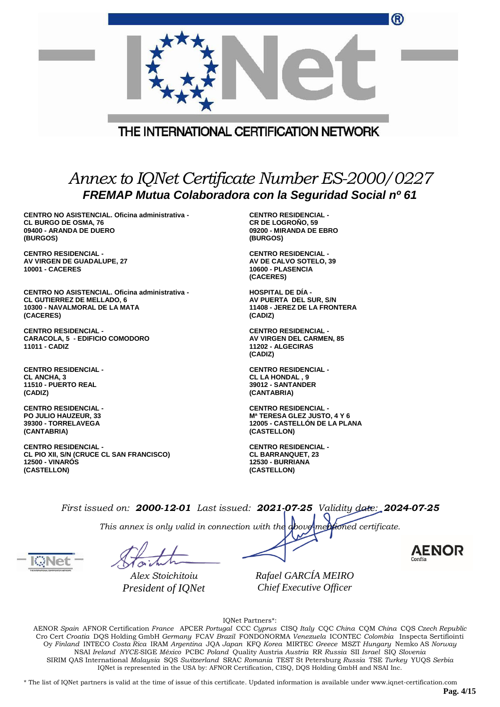|                                                                                                                                    | THE INTERNATIONAL CERTIFICATION NETWORK                                                                   |
|------------------------------------------------------------------------------------------------------------------------------------|-----------------------------------------------------------------------------------------------------------|
|                                                                                                                                    | Annex to IQNet Certificate Number ES-2000/0227<br>FREMAP Mutua Colaboradora con la Seguridad Social nº 61 |
| CENTRO NO ASISTENCIAL. Oficina administrativa -<br><b>CL BURGO DE OSMA, 76</b><br>09400 - ARANDA DE DUERO<br>(BURGOS)              | <b>CENTRO RESIDENCIAL -</b><br><b>CR DE LOGROÑO, 59</b><br>09200 - MIRANDA DE EBRO<br>(BURGOS)            |
| <b>CENTRO RESIDENCIAL -</b><br>AV VIRGEN DE GUADALUPE, 27<br><b>10001 - CACERES</b>                                                | <b>CENTRO RESIDENCIAL -</b><br>AV DE CALVO SOTELO, 39<br>10600 - PLASENCIA<br>(CACERES)                   |
| CENTRO NO ASISTENCIAL. Oficina administrativa -<br><b>CL GUTIERREZ DE MELLADO, 6</b><br>10300 - NAVALMORAL DE LA MATA<br>(CACERES) | <b>HOSPITAL DE DIA -</b><br>AV PUERTA DEL SUR, S/N<br>11408 - JEREZ DE LA FRONTERA<br>(CADIZ)             |

**CENTRO RESIDENCIAL - CARACOLA, 5 - EDIFICIO COMODORO 11011 - CADIZ**

**CENTRO RESIDENCIAL - CL ANCHA, 3 11510 - PUERTO REAL (CADIZ)**

**CENTRO RESIDENCIAL - PO JULIO HAUZEUR, 33 39300 - TORRELAVEGA (CANTABRIA)**

**CENTRO RESIDENCIAL - CL PIO XII, S/N (CRUCE CL SAN FRANCISCO) 12500 - VINARÓS (CASTELLON)**

**CENTRO RESIDENCIAL - AV VIRGEN DEL CARMEN, 85 11202 - ALGECIRAS (CADIZ)**

(F)

**CENTRO RESIDENCIAL - CL LA HONDAL , 9 39012 - SANTANDER (CANTABRIA)**

**CENTRO RESIDENCIAL - Mª TERESA GLEZ JUSTO, 4 Y 6 12005 - CASTELLÓN DE LA PLANA (CASTELLON)**

**CENTRO RESIDENCIAL - CL BARRANQUET, 23 12530 - BURRIANA (CASTELLON)**

*First issued on: 2000-12-01 Last issued: 2021-07-25 Validity date: 2024-07-25*

*This annex is only valid in connection with the above-mentioned certificate.*

*Alex Stoichitoiu President of IQNet*

*Rafael GARCÍA MEIRO Chief Executive Officer*

IQNet Partners\*:

AENOR *Spain* AFNOR Certification *France* APCER *Portugal* CCC *Cyprus* CISQ *Italy* CQC *China* CQM *China* CQS *Czech Republic* Cro Cert *Croatia* DQS Holding GmbH *Germany* FCAV *Brazil* FONDONORMA *Venezuela* ICONTEC *Colombia* Inspecta Sertifiointi Oy *Finland* INTECO *Costa Rica* IRAM *Argentina* JQA *Japan* KFQ *Korea* MIRTEC *Greece* MSZT *Hungary* Nemko AS *Norway* NSAI *Ireland NYCE-*SIGE *México* PCBC *Poland* Quality Austria *Austria* RR *Russia* SII *Israel* SIQ *Slovenia* SIRIM QAS International *Malaysia* SQS *Switzerland* SRAC *Romania* TEST St Petersburg *Russia* TSE *Turkey* YUQS *Serbia* IQNet is represented in the USA by: AFNOR Certification, CISQ, DQS Holding GmbH and NSAI Inc.

\* The list of IQNet partners is valid at the time of issue of this certificate. Updated information is available under www.iqnet-certification.com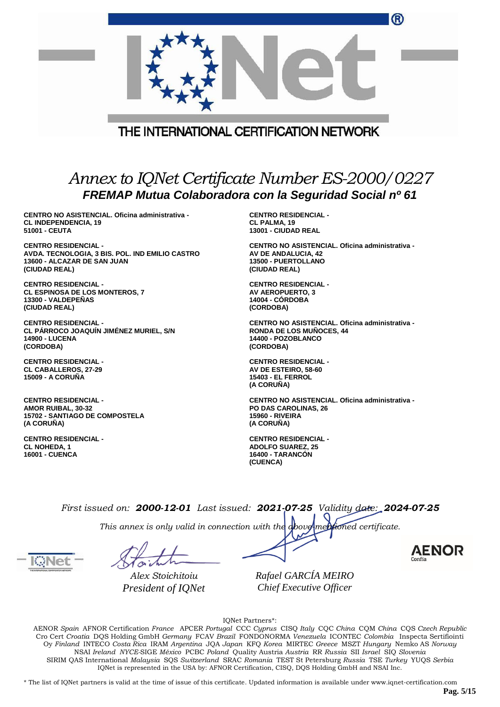|                                                                                                                                | W                                                                                                                      |
|--------------------------------------------------------------------------------------------------------------------------------|------------------------------------------------------------------------------------------------------------------------|
|                                                                                                                                |                                                                                                                        |
|                                                                                                                                | THE INTERNATIONAL CERTIFICATION NETWORK                                                                                |
|                                                                                                                                |                                                                                                                        |
|                                                                                                                                | Annex to IQNet Certificate Number ES-2000/0227<br>FREMAP Mutua Colaboradora con la Seguridad Social nº 61              |
| CENTRO NO ASISTENCIAL. Oficina administrativa -<br><b>CL INDEPENDENCIA, 19</b><br>51001 - CEUTA                                | <b>CENTRO RESIDENCIAL -</b><br><b>CL PALMA, 19</b><br>13001 - CIUDAD REAL                                              |
| <b>CENTRO RESIDENCIAL -</b><br>AVDA. TECNOLOGIA, 3 BIS. POL. IND EMILIO CASTRO<br>13600 - ALCAZAR DE SAN JUAN<br>(CIUDAD REAL) | CENTRO NO ASISTENCIAL. Oficina administrativa -<br>AV DE ANDALUCIA, 42<br>13500 - PUERTOLLANO<br>(CIUDAD REAL)         |
| <b>CENTRO RESIDENCIAL -</b><br><b>CL ESPINOSA DE LOS MONTEROS, 7</b><br>13300 - VALDEPEÑAS<br>(CIUDAD REAL)                    | <b>CENTRO RESIDENCIAL -</b><br><b>AV AEROPUERTO, 3</b><br><b>14004 - CORDOBA</b><br>(CORDOBA)                          |
| <b>CENTRO RESIDENCIAL -</b><br>CL PÁRROCO JOAQUÍN JIMÉNEZ MURIEL, S/N<br><b>14900 - LUCENA</b><br>(CORDOBA)                    | CENTRO NO ASISTENCIAL. Oficina administrativa -<br><b>RONDA DE LOS MUÑOCES. 44</b><br>14400 - POZOBLANCO<br>(CORDOBA)  |
| <b>CENTRO RESIDENCIAL -</b><br><b>CL CABALLEROS, 27-29</b><br><b>15009 - A CORUÑA</b>                                          | <b>CENTRO RESIDENCIAL -</b><br>AV DE ESTEIRO, 58-60<br><b>15403 - EL FERROL</b><br>(A CORUÑA)                          |
| <b>CENTRO RESIDENCIAL -</b><br><b>AMOR RUIBAL, 30-32</b><br><b>15702 - SANTIAGO DE COMPOSTELA</b><br>(A CORUNA)                | CENTRO NO ASISTENCIAL. Oficina administrativa -<br><b>PO DAS CAROLINAS, 26</b><br><b>15960 - RIVEIRA</b><br>(A CORUNA) |

**CENTRO RESIDENCIAL - CL NOHEDA, 1 16001 - CUENCA**

**CENTRO RESIDENCIAL - ADOLFO SUAREZ, 25 16400 - TARANCÓN (CUENCA)**

 $\sim$ 

*First issued on: 2000-12-01 Last issued: 2021-07-25 Validity date: 2024-07-25*

*This annex is only valid in connection with the above-mentioned certificate.*

*Alex Stoichitoiu President of IQNet* *Rafael GARCÍA MEIRO Chief Executive Officer*

IQNet Partners\*:

AENOR *Spain* AFNOR Certification *France* APCER *Portugal* CCC *Cyprus* CISQ *Italy* CQC *China* CQM *China* CQS *Czech Republic* Cro Cert *Croatia* DQS Holding GmbH *Germany* FCAV *Brazil* FONDONORMA *Venezuela* ICONTEC *Colombia* Inspecta Sertifiointi Oy *Finland* INTECO *Costa Rica* IRAM *Argentina* JQA *Japan* KFQ *Korea* MIRTEC *Greece* MSZT *Hungary* Nemko AS *Norway* NSAI *Ireland NYCE-*SIGE *México* PCBC *Poland* Quality Austria *Austria* RR *Russia* SII *Israel* SIQ *Slovenia* SIRIM QAS International *Malaysia* SQS *Switzerland* SRAC *Romania* TEST St Petersburg *Russia* TSE *Turkey* YUQS *Serbia* IQNet is represented in the USA by: AFNOR Certification, CISQ, DQS Holding GmbH and NSAI Inc.

\* The list of IQNet partners is valid at the time of issue of this certificate. Updated information is available under www.iqnet-certification.com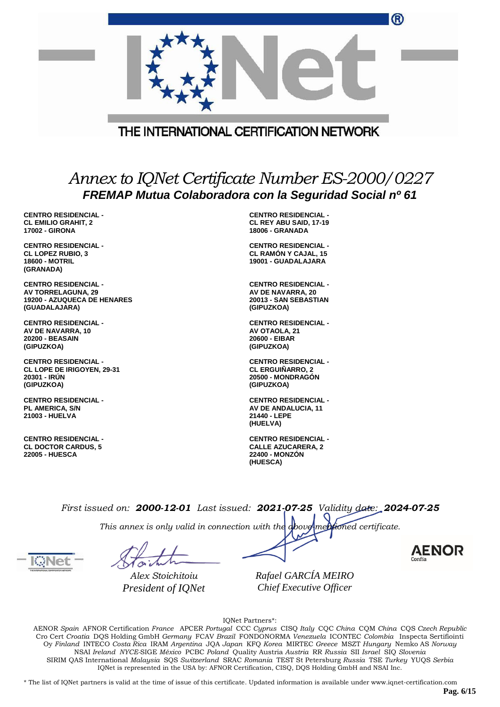|                                                                                                          | w                                                                                                         |
|----------------------------------------------------------------------------------------------------------|-----------------------------------------------------------------------------------------------------------|
|                                                                                                          | THE INTERNATIONAL CERTIFICATION NETWORK                                                                   |
|                                                                                                          |                                                                                                           |
|                                                                                                          | Annex to IQNet Certificate Number ES-2000/0227<br>FREMAP Mutua Colaboradora con la Seguridad Social nº 61 |
| <b>CENTRO RESIDENCIAL -</b><br><b>CL EMILIO GRAHIT, 2</b><br><b>17002 - GIRONA</b>                       | <b>CENTRO RESIDENCIAL -</b><br><b>CL REY ABU SAID, 17-19</b><br><b>18006 - GRANADA</b>                    |
| <b>CENTRO RESIDENCIAL -</b><br><b>CL LOPEZ RUBIO, 3</b><br><b>18600 - MOTRIL</b><br>(GRANADA)            | <b>CENTRO RESIDENCIAL -</b><br><b>CL RAMON Y CAJAL, 15</b><br>19001 - GUADALAJARA                         |
| <b>CENTRO RESIDENCIAL -</b><br>AV TORRELAGUNA, 29<br><b>19200 - AZUQUECA DE HENARES</b><br>(GUADALAJARA) | <b>CENTRO RESIDENCIAL -</b><br>AV DE NAVARRA, 20<br>20013 - SAN SEBASTIAN<br>(GIPUZKOA)                   |
| <b>CENTRO RESIDENCIAL -</b><br>AV DE NAVARRA, 10<br><b>20200 - BEASAIN</b><br>(GIPUZKOA)                 | <b>CENTRO RESIDENCIAL -</b><br>AV OTAOLA, 21<br>20600 - EIBAR<br>(GIPUZKOA)                               |
| <b>CENTRO RESIDENCIAL -</b><br>CL LOPE DE IRIGOYEN, 29-31<br>20301 - IRUN<br>(GIPUZKOA)                  | <b>CENTRO RESIDENCIAL -</b><br><b>CL ERGUIÑARRO. 2</b><br>20500 - MONDRAGON<br>(GIPUZKOA)                 |
| <b>CENTRO RESIDENCIAL -</b><br>PL AMERICA, S/N<br>21003 - HUELVA                                         | <b>CENTRO RESIDENCIAL -</b><br>AV DE ANDALUCIA, 11<br>21440 - LEPE<br>(HUELVA)                            |
| <b>CENTRO RESIDENCIAL -</b><br><b>CL DOCTOR CARDUS, 5</b><br><b>22005 - HUESCA</b>                       | <b>CENTRO RESIDENCIAL -</b><br><b>CALLE AZUCARERA, 2</b><br>22400 - MONZÓN<br>(HUESCA)                    |

*This annex is only valid in connection with the above-mentioned certificate.*

*Alex Stoichitoiu President of IQNet*

*Rafael GARCÍA MEIRO Chief Executive Officer*

IQNet Partners\*:

AENOR *Spain* AFNOR Certification *France* APCER *Portugal* CCC *Cyprus* CISQ *Italy* CQC *China* CQM *China* CQS *Czech Republic* Cro Cert *Croatia* DQS Holding GmbH *Germany* FCAV *Brazil* FONDONORMA *Venezuela* ICONTEC *Colombia* Inspecta Sertifiointi Oy *Finland* INTECO *Costa Rica* IRAM *Argentina* JQA *Japan* KFQ *Korea* MIRTEC *Greece* MSZT *Hungary* Nemko AS *Norway* NSAI *Ireland NYCE-*SIGE *México* PCBC *Poland* Quality Austria *Austria* RR *Russia* SII *Israel* SIQ *Slovenia* SIRIM QAS International *Malaysia* SQS *Switzerland* SRAC *Romania* TEST St Petersburg *Russia* TSE *Turkey* YUQS *Serbia* IQNet is represented in the USA by: AFNOR Certification, CISQ, DQS Holding GmbH and NSAI Inc.

\* The list of IQNet partners is valid at the time of issue of this certificate. Updated information is available under www.iqnet-certification.com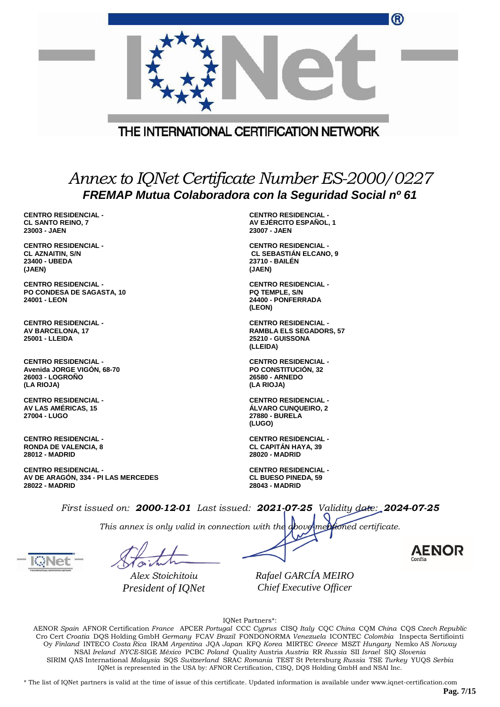|                                                                                                                                                               |  |                                                                                                           | ®      |
|---------------------------------------------------------------------------------------------------------------------------------------------------------------|--|-----------------------------------------------------------------------------------------------------------|--------|
|                                                                                                                                                               |  | THE INTERNATIONAL CERTIFICATION NETWORK                                                                   |        |
|                                                                                                                                                               |  |                                                                                                           |        |
|                                                                                                                                                               |  | Annex to IQNet Certificate Number ES-2000/0227<br>FREMAP Mutua Colaboradora con la Seguridad Social nº 61 |        |
| <b>CENTRO RESIDENCIAL -</b><br><b>CL SANTO REINO, 7</b><br>23003 - JAEN                                                                                       |  | <b>CENTRO RESIDENCIAL -</b><br>AV EJÉRCITO ESPAÑOL, 1<br>23007 - JAEN                                     |        |
| <b>CENTRO RESIDENCIAL -</b><br><b>CL AZNAITIN, S/N</b><br>23400 - UBEDA<br>(JAEN)                                                                             |  | <b>CENTRO RESIDENCIAL -</b><br><b>CL SEBASTIÁN ELCANO, 9</b><br>23710 - BAILÉN<br>(JAEN)                  |        |
| <b>CENTRO RESIDENCIAL -</b><br>PO CONDESA DE SAGASTA, 10<br>24001 - LEON                                                                                      |  | <b>CENTRO RESIDENCIAL -</b><br><b>PQ TEMPLE, S/N</b><br>24400 - PONFERRADA<br>(LEON)                      |        |
| <b>CENTRO RESIDENCIAL -</b><br><b>AV BARCELONA, 17</b><br>25001 - LLEIDA                                                                                      |  | <b>CENTRO RESIDENCIAL -</b><br><b>RAMBLA ELS SEGADORS, 57</b><br>25210 - GUISSONA<br>(LLEIDA)             |        |
| <b>CENTRO RESIDENCIAL -</b><br>Avenida JORGE VIGON, 68-70<br>26003 - LOGROÑO<br>(LA RIOJA)                                                                    |  | <b>CENTRO RESIDENCIAL -</b><br>PO CONSTITUCIÓN, 32<br>26580 - ARNEDO<br>(LA RIOJA)                        |        |
| <b>CENTRO RESIDENCIAL -</b><br>AV LAS AMERICAS, 15<br>27004 - LUGO                                                                                            |  | <b>CENTRO RESIDENCIAL -</b><br><b>ALVARO CUNQUEIRO, 2</b><br>27880 - BURELA<br>(LUGO)                     |        |
| <b>CENTRO RESIDENCIAL -</b><br><b>RONDA DE VALENCIA, 8</b><br><b>28012 - MADRID</b>                                                                           |  | <b>CENTRO RESIDENCIAL -</b><br><b>CL CAPITAN HAYA, 39</b><br>28020 - MADRID                               |        |
| <b>CENTRO RESIDENCIAL -</b><br>AV DE ARAGÓN, 334 - PI LAS MERCEDES<br>28022 - MADRID                                                                          |  | <b>CENTRO RESIDENCIAL -</b><br><b>CL BUESO PINEDA, 59</b><br><b>28043 - MADRID</b>                        |        |
| First issued on: 2000-12-01 Last issued: 2021-07-25 Validity date: 2024-07-25<br>This annex is only valid in connection with the above mentioned certificate. |  |                                                                                                           |        |
|                                                                                                                                                               |  |                                                                                                           | Confía |

*Alex Stoichitoiu President of IQNet* *Rafael GARCÍA MEIRO Chief Executive Officer*

IQNet Partners\*:

AENOR *Spain* AFNOR Certification *France* APCER *Portugal* CCC *Cyprus* CISQ *Italy* CQC *China* CQM *China* CQS *Czech Republic* Cro Cert *Croatia* DQS Holding GmbH *Germany* FCAV *Brazil* FONDONORMA *Venezuela* ICONTEC *Colombia* Inspecta Sertifiointi Oy *Finland* INTECO *Costa Rica* IRAM *Argentina* JQA *Japan* KFQ *Korea* MIRTEC *Greece* MSZT *Hungary* Nemko AS *Norway* NSAI *Ireland NYCE-*SIGE *México* PCBC *Poland* Quality Austria *Austria* RR *Russia* SII *Israel* SIQ *Slovenia* SIRIM QAS International *Malaysia* SQS *Switzerland* SRAC *Romania* TEST St Petersburg *Russia* TSE *Turkey* YUQS *Serbia* IQNet is represented in the USA by: AFNOR Certification, CISQ, DQS Holding GmbH and NSAI Inc.

\* The list of IQNet partners is valid at the time of issue of this certificate. Updated information is available under www.iqnet-certification.com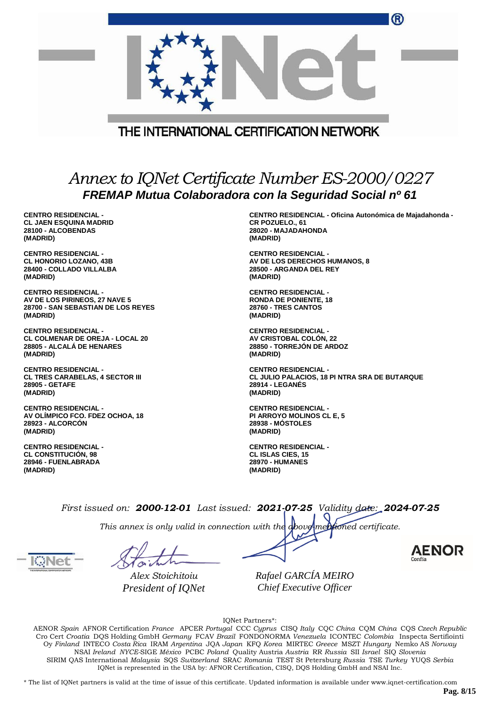|                                                                                                           |                                                                             | $\mathbf{w}$ |
|-----------------------------------------------------------------------------------------------------------|-----------------------------------------------------------------------------|--------------|
|                                                                                                           |                                                                             |              |
|                                                                                                           |                                                                             |              |
|                                                                                                           | THE INTERNATIONAL CERTIFICATION NETWORK                                     |              |
| Annex to IQNet Certificate Number ES-2000/0227<br>FREMAP Mutua Colaboradora con la Seguridad Social nº 61 |                                                                             |              |
| <b>CENTRO RESIDENCIAL -</b><br>CL JAEN ESOUINA MADRID                                                     | CENTRO RESIDENCIAL - Oficina Autonómica de Majadahonda -<br>CR POZUELO., 61 |              |

**CL JAEN ESQUINA MADRID 28100 - ALCOBENDAS (MADRID)**

**CENTRO RESIDENCIAL - CL HONORIO LOZANO, 43B 28400 - COLLADO VILLALBA (MADRID)**

**CENTRO RESIDENCIAL - AV DE LOS PIRINEOS, 27 NAVE 5 28700 - SAN SEBASTIAN DE LOS REYES (MADRID)**

**CENTRO RESIDENCIAL - CL COLMENAR DE OREJA - LOCAL 20 28805 - ALCALÁ DE HENARES (MADRID)**

**CENTRO RESIDENCIAL - CL TRES CARABELAS, 4 SECTOR III 28905 - GETAFE (MADRID)**

**CENTRO RESIDENCIAL - AV OLÍMPICO FCO. FDEZ OCHOA, 18 28923 - ALCORCÓN (MADRID)**

**CENTRO RESIDENCIAL - CL CONSTITUCIÓN, 98 28946 - FUENLABRADA (MADRID)**

**CR POZUELO., 61 28020 - MAJADAHONDA (MADRID)**

 $\sim$ 

**CENTRO RESIDENCIAL - AV DE LOS DERECHOS HUMANOS, 8 28500 - ARGANDA DEL REY (MADRID)**

**CENTRO RESIDENCIAL - RONDA DE PONIENTE, 18 28760 - TRES CANTOS (MADRID)**

**CENTRO RESIDENCIAL - AV CRISTOBAL COLÓN, 22 28850 - TORREJÓN DE ARDOZ (MADRID)**

**CENTRO RESIDENCIAL - CL JULIO PALACIOS, 18 PI NTRA SRA DE BUTARQUE 28914 - LEGANÉS (MADRID)**

**CENTRO RESIDENCIAL - PI ARROYO MOLINOS CL E, 5 28938 - MÓSTOLES (MADRID)**

**CENTRO RESIDENCIAL - CL ISLAS CIES, 15 28970 - HUMANES (MADRID)**

*First issued on: 2000-12-01 Last issued: 2021-07-25 Validity date: 2024-07-25*

*This annex is only valid in connection with the above-mentioned certificate.*

*Alex Stoichitoiu President of IQNet*

*Rafael GARCÍA MEIRO Chief Executive Officer*

IQNet Partners\*:

AENOR *Spain* AFNOR Certification *France* APCER *Portugal* CCC *Cyprus* CISQ *Italy* CQC *China* CQM *China* CQS *Czech Republic* Cro Cert *Croatia* DQS Holding GmbH *Germany* FCAV *Brazil* FONDONORMA *Venezuela* ICONTEC *Colombia* Inspecta Sertifiointi Oy *Finland* INTECO *Costa Rica* IRAM *Argentina* JQA *Japan* KFQ *Korea* MIRTEC *Greece* MSZT *Hungary* Nemko AS *Norway* NSAI *Ireland NYCE-*SIGE *México* PCBC *Poland* Quality Austria *Austria* RR *Russia* SII *Israel* SIQ *Slovenia* SIRIM QAS International *Malaysia* SQS *Switzerland* SRAC *Romania* TEST St Petersburg *Russia* TSE *Turkey* YUQS *Serbia* IQNet is represented in the USA by: AFNOR Certification, CISQ, DQS Holding GmbH and NSAI Inc.

\* The list of IQNet partners is valid at the time of issue of this certificate. Updated information is available under www.iqnet-certification.com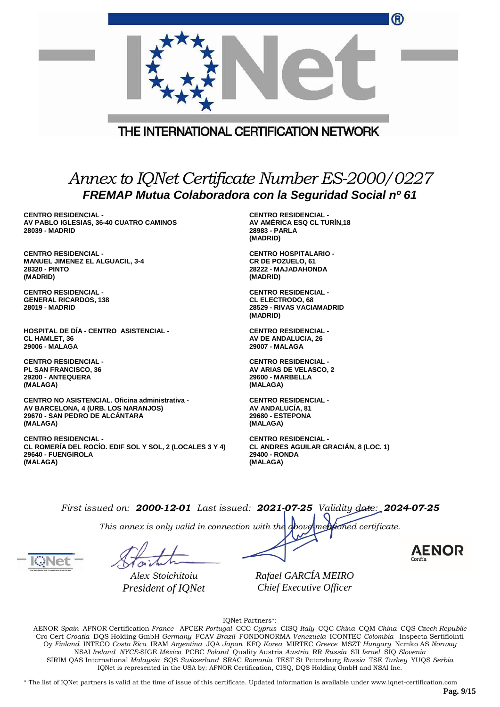|                                                                                                                                      | w                                                                                               |  |  |
|--------------------------------------------------------------------------------------------------------------------------------------|-------------------------------------------------------------------------------------------------|--|--|
|                                                                                                                                      |                                                                                                 |  |  |
|                                                                                                                                      | THE INTERNATIONAL CERTIFICATION NETWORK                                                         |  |  |
| Annex to IQNet Certificate Number ES-2000/0227<br>FREMAP Mutua Colaboradora con la Seguridad Social nº 61                            |                                                                                                 |  |  |
| <b>CENTRO RESIDENCIAL -</b><br>AV PABLO IGLESIAS, 36-40 CUATRO CAMINOS<br>28039 - MADRID                                             | <b>CENTRO RESIDENCIAL -</b><br>AV AMÉRICA ESQ CL TURÍN,18<br>28983 - PARLA<br>(MADRID)          |  |  |
| <b>CENTRO RESIDENCIAL -</b><br><b>MANUEL JIMENEZ EL ALGUACIL, 3-4</b><br>28320 - PINTO<br>(MADRID)                                   | <b>CENTRO HOSPITALARIO -</b><br>CR DE POZUELO, 61<br>28222 - MAJADAHONDA<br>(MADRID)            |  |  |
| <b>CENTRO RESIDENCIAL -</b><br><b>GENERAL RICARDOS, 138</b><br>28019 - MADRID                                                        | <b>CENTRO RESIDENCIAL -</b><br><b>CL ELECTRODO, 68</b><br>28529 - RIVAS VACIAMADRID<br>(MADRID) |  |  |
| <b>HOSPITAL DE DÍA - CENTRO ASISTENCIAL -</b><br><b>CL HAMLET, 36</b><br>29006 - MALAGA                                              | <b>CENTRO RESIDENCIAL -</b><br>AV DE ANDALUCIA, 26<br>29007 - MALAGA                            |  |  |
| <b>CENTRO RESIDENCIAL -</b><br><b>PL SAN FRANCISCO, 36</b><br>29200 - ANTEQUERA<br>(MALAGA)                                          | <b>CENTRO RESIDENCIAL -</b><br>AV ARIAS DE VELASCO, 2<br><b>29600 - MARBELLA</b><br>(MALAGA)    |  |  |
| CENTRO NO ASISTENCIAL. Oficina administrativa -<br>AV BARCELONA, 4 (URB. LOS NARANJOS)<br>29670 - SAN PEDRO DE ALCÁNTARA<br>(MALAGA) | <b>CENTRO RESIDENCIAL -</b><br>AV ANDALUCIA, 81<br>29680 - ESTEPONA<br>(MALAGA)                 |  |  |

**CENTRO RESIDENCIAL - CL ROMERÍA DEL ROCÍO. EDIF SOL Y SOL, 2 (LOCALES 3 Y 4) 29640 - FUENGIROLA (MALAGA)**

**CENTRO RESIDENCIAL - CL ANDRES AGUILAR GRACIÁN, 8 (LOC. 1) 29400 - RONDA (MALAGA)**

*First issued on: 2000-12-01 Last issued: 2021-07-25 Validity date: 2024-07-25*

*This annex is only valid in connection with the above-mentioned certificate.*

*Alex Stoichitoiu President of IQNet*

*Rafael GARCÍA MEIRO Chief Executive Officer*

IQNet Partners\*:

AENOR *Spain* AFNOR Certification *France* APCER *Portugal* CCC *Cyprus* CISQ *Italy* CQC *China* CQM *China* CQS *Czech Republic* Cro Cert *Croatia* DQS Holding GmbH *Germany* FCAV *Brazil* FONDONORMA *Venezuela* ICONTEC *Colombia* Inspecta Sertifiointi Oy *Finland* INTECO *Costa Rica* IRAM *Argentina* JQA *Japan* KFQ *Korea* MIRTEC *Greece* MSZT *Hungary* Nemko AS *Norway* NSAI *Ireland NYCE-*SIGE *México* PCBC *Poland* Quality Austria *Austria* RR *Russia* SII *Israel* SIQ *Slovenia* SIRIM QAS International *Malaysia* SQS *Switzerland* SRAC *Romania* TEST St Petersburg *Russia* TSE *Turkey* YUQS *Serbia* IQNet is represented in the USA by: AFNOR Certification, CISQ, DQS Holding GmbH and NSAI Inc.

\* The list of IQNet partners is valid at the time of issue of this certificate. Updated information is available under www.iqnet-certification.com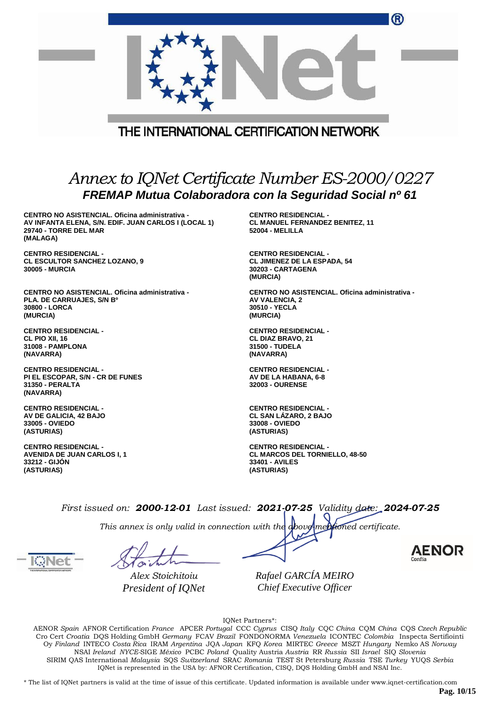|                                                                                                                                              | ®                                                                                                           |  |  |
|----------------------------------------------------------------------------------------------------------------------------------------------|-------------------------------------------------------------------------------------------------------------|--|--|
|                                                                                                                                              | THE INTERNATIONAL CERTIFICATION NETWORK                                                                     |  |  |
| Annex to IQNet Certificate Number ES-2000/0227<br>FREMAP Mutua Colaboradora con la Seguridad Social nº 61                                    |                                                                                                             |  |  |
| CENTRO NO ASISTENCIAL. Oficina administrativa -<br>AV INFANTA ELENA, S/N. EDIF. JUAN CARLOS I (LOCAL 1)<br>29740 - TORRE DEL MAR<br>(MALAGA) | <b>CENTRO RESIDENCIAL -</b><br><b>CL MANUEL FERNANDEZ BENITEZ, 11</b><br><b>52004 - MELILLA</b>             |  |  |
| <b>CENTRO RESIDENCIAL -</b><br><b>CL ESCULTOR SANCHEZ LOZANO, 9</b><br><b>30005 - MURCIA</b>                                                 | <b>CENTRO RESIDENCIAL -</b><br><b>CL JIMENEZ DE LA ESPADA, 54</b><br><b>30203 - CARTAGENA</b><br>(MURCIA)   |  |  |
| CENTRO NO ASISTENCIAL. Oficina administrativa -<br>PLA. DE CARRUAJES, S/N B°<br>30800 - LORCA<br>(MURCIA)                                    | CENTRO NO ASISTENCIAL. Oficina administrativa -<br>AV VALENCIA, 2<br>30510 - YECLA<br>(MURCIA)              |  |  |
| <b>CENTRO RESIDENCIAL -</b><br>CL PIO XII, 16<br>31008 - PAMPLONA<br>(NAVARRA)                                                               | <b>CENTRO RESIDENCIAL -</b><br>CL DIAZ BRAVO, 21<br>31500 - TUDELA<br>(NAVARRA)                             |  |  |
| <b>CENTRO RESIDENCIAL -</b><br>PI EL ESCOPAR, S/N - CR DE FUNES<br>31350 - PERALTA<br>(NAVARRA)                                              | <b>CENTRO RESIDENCIAL -</b><br>AV DE LA HABANA, 6-8<br><b>32003 - OURENSE</b>                               |  |  |
| <b>CENTRO RESIDENCIAL -</b><br>AV DE GALICIA, 42 BAJO<br>33005 - OVIEDO<br>(ASTURIAS)                                                        | <b>CENTRO RESIDENCIAL -</b><br>CL SAN LÁZARO, 2 BAJO<br>33008 - OVIEDO<br>(ASTURIAS)                        |  |  |
| <b>CENTRO RESIDENCIAL -</b><br><b>AVENIDA DE JUAN CARLOS I, 1</b><br>33212 - GIJON<br>(ASTURIAS)                                             | <b>CENTRO RESIDENCIAL -</b><br><b>CL MARCOS DEL TORNIELLO, 48-50</b><br><b>33401 - AVILES</b><br>(ASTURIAS) |  |  |
|                                                                                                                                              | First issued on: 2000-12-01 Last issued: 2021-07-25 Validity date: 2024-07-25                               |  |  |

*This annex is only valid in connection with the above-mentioned certificate.*

*Alex Stoichitoiu President of IQNet*

*Rafael GARCÍA MEIRO Chief Executive Officer*

IQNet Partners\*:

AENOR *Spain* AFNOR Certification *France* APCER *Portugal* CCC *Cyprus* CISQ *Italy* CQC *China* CQM *China* CQS *Czech Republic* Cro Cert *Croatia* DQS Holding GmbH *Germany* FCAV *Brazil* FONDONORMA *Venezuela* ICONTEC *Colombia* Inspecta Sertifiointi Oy *Finland* INTECO *Costa Rica* IRAM *Argentina* JQA *Japan* KFQ *Korea* MIRTEC *Greece* MSZT *Hungary* Nemko AS *Norway* NSAI *Ireland NYCE-*SIGE *México* PCBC *Poland* Quality Austria *Austria* RR *Russia* SII *Israel* SIQ *Slovenia* SIRIM QAS International *Malaysia* SQS *Switzerland* SRAC *Romania* TEST St Petersburg *Russia* TSE *Turkey* YUQS *Serbia* IQNet is represented in the USA by: AFNOR Certification, CISQ, DQS Holding GmbH and NSAI Inc.

\* The list of IQNet partners is valid at the time of issue of this certificate. Updated information is available under www.iqnet-certification.com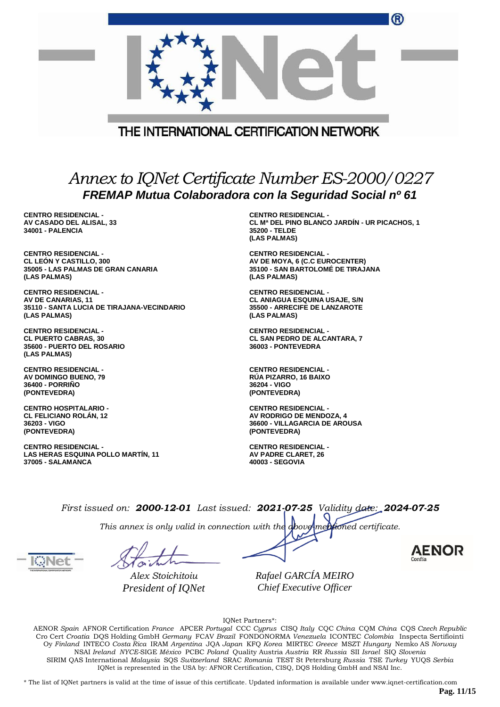|                                                                                                                        | ®                                                                                                                    |
|------------------------------------------------------------------------------------------------------------------------|----------------------------------------------------------------------------------------------------------------------|
|                                                                                                                        | THE INTERNATIONAL CERTIFICATION NETWORK                                                                              |
|                                                                                                                        | Annex to IQNet Certificate Number ES-2000/0227                                                                       |
|                                                                                                                        | FREMAP Mutua Colaboradora con la Seguridad Social nº 61                                                              |
| <b>CENTRO RESIDENCIAL -</b><br>AV CASADO DEL ALISAL, 33<br>34001 - PALENCIA                                            | <b>CENTRO RESIDENCIAL -</b><br>CL Mª DEL PINO BLANCO JARDÍN - UR PICACHOS, 1<br>35200 - TELDE<br>(LAS PALMAS)        |
| <b>CENTRO RESIDENCIAL -</b><br><b>CL LEON Y CASTILLO, 300</b><br>35005 - LAS PALMAS DE GRAN CANARIA<br>(LAS PALMAS)    | <b>CENTRO RESIDENCIAL -</b><br>AV DE MOYA, 6 (C.C EUROCENTER)<br>35100 - SAN BARTOLOMÉ DE TIRAJANA<br>(LAS PALMAS)   |
| <b>CENTRO RESIDENCIAL -</b><br><b>AV DE CANARIAS, 11</b><br>35110 - SANTA LUCIA DE TIRAJANA-VECINDARIO<br>(LAS PALMAS) | <b>CENTRO RESIDENCIAL -</b><br><b>CL ANIAGUA ESQUINA USAJE, S/N</b><br>35500 - ARRECIFE DE LANZAROTE<br>(LAS PALMAS) |
| <b>CENTRO RESIDENCIAL -</b><br><b>CL PUERTO CABRAS, 30</b><br>35600 - PUERTO DEL ROSARIO<br>(LAS PALMAS)               | <b>CENTRO RESIDENCIAL -</b><br>CL SAN PEDRO DE ALCANTARA, 7<br>36003 - PONTEVEDRA                                    |
| <b>CENTRO RESIDENCIAL -</b><br><b>AV DOMINGO BUENO, 79</b><br><b>36400 - PORRINO</b><br>(PONTEVEDRA)                   | <b>CENTRO RESIDENCIAL -</b><br><b>RUA PIZARRO, 16 BAIXO</b><br>36204 - VIGO<br>(PONTEVEDRA)                          |
| <b>CENTRO HOSPITALARIO -</b><br><b>CL FELICIANO ROLAN, 12</b><br>36203 - VIGO<br>(PONTEVEDRA)                          | <b>CENTRO RESIDENCIAL -</b><br>AV RODRIGO DE MENDOZA, 4<br><b>36600 - VILLAGARCIA DE AROUSA</b><br>(PONTEVEDRA)      |
| <b>CENTRO RESIDENCIAL -</b><br>LAS HERAS ESQUINA POLLO MARTÍN, 11<br><b>37005 - SALAMANCA</b>                          | <b>CENTRO RESIDENCIAL -</b><br>AV PADRE CLARET, 26<br>40003 - SEGOVIA                                                |
|                                                                                                                        | $First is equal on 0.000, 10.01. Last is equal. 0001.07.0E. Calculate data: 0.004.07.0E.$                            |

*This annex is only valid in connection with the above-mentioned certificate.*

*Alex Stoichitoiu President of IQNet*

*Rafael GARCÍA MEIRO Chief Executive Officer*

IQNet Partners\*:

AENOR *Spain* AFNOR Certification *France* APCER *Portugal* CCC *Cyprus* CISQ *Italy* CQC *China* CQM *China* CQS *Czech Republic* Cro Cert *Croatia* DQS Holding GmbH *Germany* FCAV *Brazil* FONDONORMA *Venezuela* ICONTEC *Colombia* Inspecta Sertifiointi Oy *Finland* INTECO *Costa Rica* IRAM *Argentina* JQA *Japan* KFQ *Korea* MIRTEC *Greece* MSZT *Hungary* Nemko AS *Norway* NSAI *Ireland NYCE-*SIGE *México* PCBC *Poland* Quality Austria *Austria* RR *Russia* SII *Israel* SIQ *Slovenia* SIRIM QAS International *Malaysia* SQS *Switzerland* SRAC *Romania* TEST St Petersburg *Russia* TSE *Turkey* YUQS *Serbia* IQNet is represented in the USA by: AFNOR Certification, CISQ, DQS Holding GmbH and NSAI Inc.

\* The list of IQNet partners is valid at the time of issue of this certificate. Updated information is available under www.iqnet-certification.com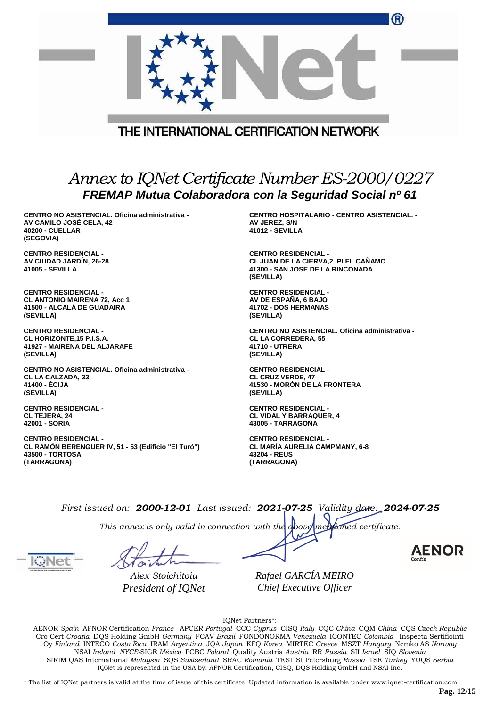|                                                                                                                      | ®                                                                                                                   |  |  |
|----------------------------------------------------------------------------------------------------------------------|---------------------------------------------------------------------------------------------------------------------|--|--|
| THE INTERNATIONAL CERTIFICATION NETWORK                                                                              |                                                                                                                     |  |  |
|                                                                                                                      | Annex to IQNet Certificate Number ES-2000/0227                                                                      |  |  |
|                                                                                                                      | FREMAP Mutua Colaboradora con la Seguridad Social nº 61                                                             |  |  |
| CENTRO NO ASISTENCIAL. Oficina administrativa -<br>AV CAMILO JOSÉ CELA, 42<br><b>40200 - CUELLAR</b><br>(SEGOVIA)    | <b>CENTRO HOSPITALARIO - CENTRO ASISTENCIAL. -</b><br>AV JEREZ, S/N<br><b>41012 - SEVILLA</b>                       |  |  |
| <b>CENTRO RESIDENCIAL -</b><br>AV CIUDAD JARDÍN, 26-28<br><b>41005 - SEVILLA</b>                                     | <b>CENTRO RESIDENCIAL -</b><br>CL JUAN DE LA CIERVA,2 PI EL CAÑAMO<br>41300 - SAN JOSE DE LA RINCONADA<br>(SEVILLA) |  |  |
| <b>CENTRO RESIDENCIAL -</b><br><b>CL ANTONIO MAIRENA 72, Acc 1</b><br>41500 - ALCALA DE GUADAIRA<br>(SEVILLA)        | <b>CENTRO RESIDENCIAL -</b><br>AV DE ESPAÑA, 6 BAJO<br>41702 - DOS HERMANAS<br>(SEVILLA)                            |  |  |
| <b>CENTRO RESIDENCIAL -</b><br>CL HORIZONTE, 15 P.I.S.A.<br>41927 - MAIRENA DEL ALJARAFE<br>(SEVILLA)                | CENTRO NO ASISTENCIAL. Oficina administrativa -<br><b>CL LA CORREDERA, 55</b><br>41710 - UTRERA<br>(SEVILLA)        |  |  |
| CENTRO NO ASISTENCIAL. Oficina administrativa -<br><b>CL LA CALZADA, 33</b><br>41400 - ÉCIJA<br>(SEVILLA)            | <b>CENTRO RESIDENCIAL -</b><br><b>CL CRUZ VERDE, 47</b><br>41530 - MORÓN DE LA FRONTERA<br>(SEVILLA)                |  |  |
| <b>CENTRO RESIDENCIAL -</b><br><b>CL TEJERA, 24</b><br>42001 - SORIA                                                 | <b>CENTRO RESIDENCIAL -</b><br><b>CL VIDAL Y BARRAQUER, 4</b><br>43005 - TARRAGONA                                  |  |  |
| <b>CENTRO RESIDENCIAL -</b><br>CL RAMON BERENGUER IV, 51 - 53 (Edificio "El Turó")<br>43500 - TORTOSA<br>(TARRAGONA) | <b>CENTRO RESIDENCIAL -</b><br><b>CL MARIA AURELIA CAMPMANY, 6-8</b><br>43204 - REUS<br>(TARRAGONA)                 |  |  |
|                                                                                                                      | First issued on: 2000-12-01 Last issued: 2021-07-25 Validity date: 2024-07-25                                       |  |  |

*This annex is only valid in connection with the above-mentioned certificate.*

*Alex Stoichitoiu President of IQNet* *Rafael GARCÍA MEIRO Chief Executive Officer*

IQNet Partners\*:

AENOR *Spain* AFNOR Certification *France* APCER *Portugal* CCC *Cyprus* CISQ *Italy* CQC *China* CQM *China* CQS *Czech Republic* Cro Cert *Croatia* DQS Holding GmbH *Germany* FCAV *Brazil* FONDONORMA *Venezuela* ICONTEC *Colombia* Inspecta Sertifiointi Oy *Finland* INTECO *Costa Rica* IRAM *Argentina* JQA *Japan* KFQ *Korea* MIRTEC *Greece* MSZT *Hungary* Nemko AS *Norway* NSAI *Ireland NYCE-*SIGE *México* PCBC *Poland* Quality Austria *Austria* RR *Russia* SII *Israel* SIQ *Slovenia* SIRIM QAS International *Malaysia* SQS *Switzerland* SRAC *Romania* TEST St Petersburg *Russia* TSE *Turkey* YUQS *Serbia* IQNet is represented in the USA by: AFNOR Certification, CISQ, DQS Holding GmbH and NSAI Inc.

\* The list of IQNet partners is valid at the time of issue of this certificate. Updated information is available under www.iqnet-certification.com

**Pag. 12/15**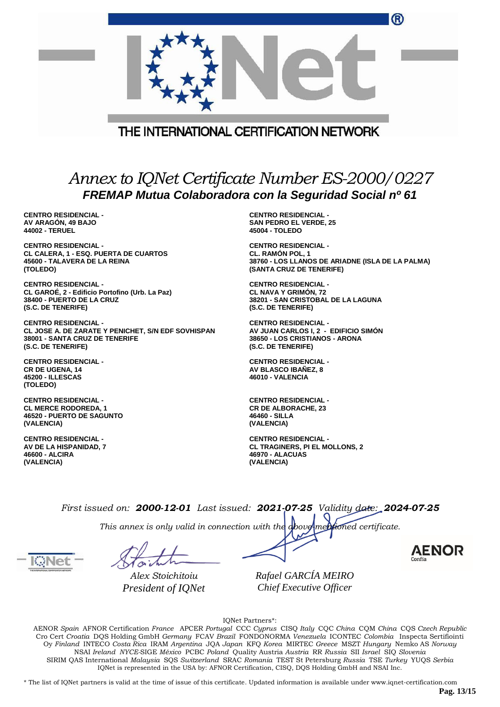|                                                                                                           | w                                                |  |  |
|-----------------------------------------------------------------------------------------------------------|--------------------------------------------------|--|--|
|                                                                                                           |                                                  |  |  |
| THE INTERNATIONAL CERTIFICATION NETWORK                                                                   |                                                  |  |  |
|                                                                                                           |                                                  |  |  |
| Annex to IQNet Certificate Number ES-2000/0227<br>FREMAP Mutua Colaboradora con la Seguridad Social nº 61 |                                                  |  |  |
| <b>CENTRO RESIDENCIAL -</b>                                                                               | <b>CENTRO RESIDENCIAL -</b>                      |  |  |
| AV ARAGÓN, 49 BAJO                                                                                        | <b>SAN PEDRO EL VERDE, 25</b>                    |  |  |
| 44002 - TERUEL                                                                                            | 45004 - TOLEDO                                   |  |  |
| <b>CENTRO RESIDENCIAL -</b>                                                                               | <b>CENTRO RESIDENCIAL -</b>                      |  |  |
| CL CALERA, 1 - ESQ. PUERTA DE CUARTOS                                                                     | <b>CL. RAMÓN POL, 1</b>                          |  |  |
| 45600 - TALAVERA DE LA REINA                                                                              | 38760 - LOS LLANOS DE ARIADNE (ISLA DE LA PALMA) |  |  |
| (TOLEDO)                                                                                                  | (SANTA CRUZ DE TENERIFE)                         |  |  |
| <b>CENTRO RESIDENCIAL -</b>                                                                               | <b>CENTRO RESIDENCIAL -</b>                      |  |  |
| CL GAROÉ, 2 - Edificio Portofino (Urb. La Paz)                                                            | <b>CL NAVA Y GRIMÓN, 72</b>                      |  |  |
| 38400 - PUERTO DE LA CRUZ                                                                                 | 38201 - SAN CRISTOBAL DE LA LAGUNA               |  |  |
| (S.C. DE TENERIFE)                                                                                        | (S.C. DE TENERIFE)                               |  |  |
| <b>CENTRO RESIDENCIAL -</b>                                                                               | <b>CENTRO RESIDENCIAL -</b>                      |  |  |
| CL JOSE A. DE ZARATE Y PENICHET, S/N EDF SOVHISPAN                                                        | AV JUAN CARLOS I, 2 - EDIFICIO SIMÓN             |  |  |
| 38001 - SANTA CRUZ DE TENERIFE                                                                            | 38650 - LOS CRISTIANOS - ARONA                   |  |  |
| (S.C. DE TENERIFE)                                                                                        | (S.C. DE TENERIFE)                               |  |  |
| <b>CENTRO RESIDENCIAL -</b>                                                                               | <b>CENTRO RESIDENCIAL -</b>                      |  |  |
| <b>CR DE UGENA, 14</b>                                                                                    | <b>AV BLASCO IBAÑEZ, 8</b>                       |  |  |
| <b>45200 - ILLESCAS</b>                                                                                   | 46010 - VALENCIA                                 |  |  |

**CENTRO RESIDENCIAL - CL MERCE RODOREDA, 1 46520 - PUERTO DE SAGUNTO (VALENCIA)**

**CENTRO RESIDENCIAL - AV DE LA HISPANIDAD, 7 46600 - ALCIRA (VALENCIA)**

**(TOLEDO)**

**CENTRO RESIDENCIAL - CR DE ALBORACHE, 23 46460 - SILLA (VALENCIA)**

**CENTRO RESIDENCIAL - CL TRAGINERS, PI EL MOLLONS, 2 46970 - ALACUAS (VALENCIA)**

 $\sqrt{2}$ 

*First issued on: 2000-12-01 Last issued: 2021-07-25 Validity date: 2024-07-25*

*This annex is only valid in connection with the above-mentioned certificate.*

*Alex Stoichitoiu President of IQNet*

*Rafael GARCÍA MEIRO Chief Executive Officer*

IQNet Partners\*:

AENOR *Spain* AFNOR Certification *France* APCER *Portugal* CCC *Cyprus* CISQ *Italy* CQC *China* CQM *China* CQS *Czech Republic* Cro Cert *Croatia* DQS Holding GmbH *Germany* FCAV *Brazil* FONDONORMA *Venezuela* ICONTEC *Colombia* Inspecta Sertifiointi Oy *Finland* INTECO *Costa Rica* IRAM *Argentina* JQA *Japan* KFQ *Korea* MIRTEC *Greece* MSZT *Hungary* Nemko AS *Norway* NSAI *Ireland NYCE-*SIGE *México* PCBC *Poland* Quality Austria *Austria* RR *Russia* SII *Israel* SIQ *Slovenia* SIRIM QAS International *Malaysia* SQS *Switzerland* SRAC *Romania* TEST St Petersburg *Russia* TSE *Turkey* YUQS *Serbia* IQNet is represented in the USA by: AFNOR Certification, CISQ, DQS Holding GmbH and NSAI Inc.

\* The list of IQNet partners is valid at the time of issue of this certificate. Updated information is available under www.iqnet-certification.com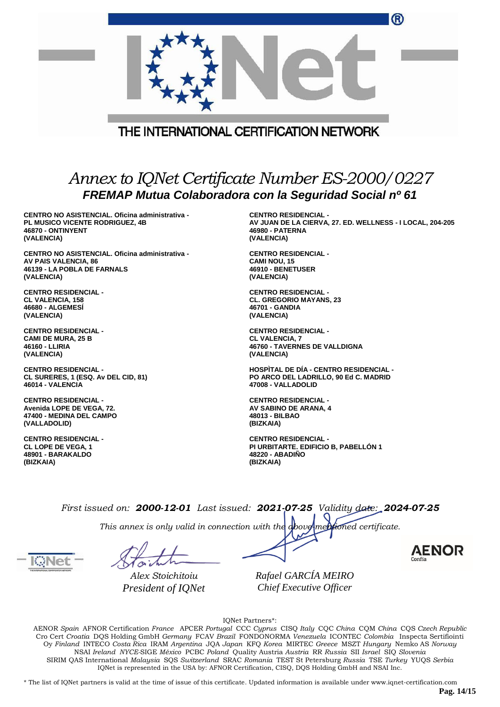|                                                                                                           | (R)                                                       |  |  |  |
|-----------------------------------------------------------------------------------------------------------|-----------------------------------------------------------|--|--|--|
|                                                                                                           |                                                           |  |  |  |
| THE INTERNATIONAL CERTIFICATION NETWORK                                                                   |                                                           |  |  |  |
| Annex to IQNet Certificate Number ES-2000/0227<br>FREMAP Mutua Colaboradora con la Seguridad Social nº 61 |                                                           |  |  |  |
| CENTRO NO ASISTENCIAL, Oficina administrativa -                                                           | <b>CENTRO RESIDENCIAL -</b>                               |  |  |  |
| PL MUSICO VICENTE RODRIGUEZ, 4B                                                                           | AV JUAN DE LA CIERVA, 27. ED. WELLNESS - I LOCAL, 204-205 |  |  |  |
| 46870 - ONTINYENT                                                                                         | <b>46980 - PATERNA</b>                                    |  |  |  |
| (VALENCIA)                                                                                                | (VALENCIA)                                                |  |  |  |
| CENTRO NO ASISTENCIAL. Oficina administrativa -                                                           | <b>CENTRO RESIDENCIAL -</b>                               |  |  |  |
| AV PAIS VALENCIA, 86                                                                                      | <b>CAMI NOU, 15</b>                                       |  |  |  |
| 46139 - LA POBLA DE FARNALS                                                                               | 46910 - BENETUSER                                         |  |  |  |
| (VALENCIA)                                                                                                | (VALENCIA)                                                |  |  |  |
| <b>CENTRO RESIDENCIAL -</b>                                                                               | <b>CENTRO RESIDENCIAL -</b>                               |  |  |  |
| <b>CL VALENCIA, 158</b>                                                                                   | <b>CL. GREGORIO MAYANS, 23</b>                            |  |  |  |
| <b>46680 - ALGEMESI</b>                                                                                   | 46701 - GANDIA                                            |  |  |  |
| (VALENCIA)                                                                                                | (VALENCIA)                                                |  |  |  |
| <b>CENTRO RESIDENCIAL -</b>                                                                               | <b>CENTRO RESIDENCIAL -</b>                               |  |  |  |
| <b>CAMI DE MURA, 25 B</b>                                                                                 | <b>CL VALENCIA, 7</b>                                     |  |  |  |
| 46160 - LLIRIA                                                                                            | <b>46760 - TAVERNES DE VALLDIGNA</b>                      |  |  |  |
| (VALENCIA)                                                                                                | (VALENCIA)                                                |  |  |  |
| <b>CENTRO RESIDENCIAL -</b>                                                                               | <b>HOSPITAL DE DÍA - CENTRO RESIDENCIAL -</b>             |  |  |  |
| CL SURERES, 1 (ESQ. Av DEL CID, 81)                                                                       | PO ARCO DEL LADRILLO, 90 Ed C. MADRID                     |  |  |  |
| 46014 - VALENCIA                                                                                          | 47008 - VALLADOLID                                        |  |  |  |
| <b>CENTRO RESIDENCIAL -</b>                                                                               | <b>CENTRO RESIDENCIAL -</b>                               |  |  |  |
| Avenida LOPE DE VEGA, 72.                                                                                 | AV SABINO DE ARANA, 4                                     |  |  |  |
| 47400 - MEDINA DEL CAMPO                                                                                  | 48013 - BILBAO                                            |  |  |  |
| (VALLADOLID)                                                                                              | (BIZKAIA)                                                 |  |  |  |
| <b>CENTRO RESIDENCIAL -</b>                                                                               | <b>CENTRO RESIDENCIAL -</b>                               |  |  |  |
| <b>CL LOPE DE VEGA, 1</b>                                                                                 | PI URBITARTE. EDIFICIO B, PABELLÓN 1                      |  |  |  |
| 48901 - BARAKALDO                                                                                         | 48220 - ABADIÑO                                           |  |  |  |
| (BIZKAIA)                                                                                                 | (BIZKAIA)                                                 |  |  |  |

*This annex is only valid in connection with the above-mentioned certificate.*

*Alex Stoichitoiu President of IQNet* *Rafael GARCÍA MEIRO Chief Executive Officer*

IQNet Partners\*:

AENOR *Spain* AFNOR Certification *France* APCER *Portugal* CCC *Cyprus* CISQ *Italy* CQC *China* CQM *China* CQS *Czech Republic* Cro Cert *Croatia* DQS Holding GmbH *Germany* FCAV *Brazil* FONDONORMA *Venezuela* ICONTEC *Colombia* Inspecta Sertifiointi Oy *Finland* INTECO *Costa Rica* IRAM *Argentina* JQA *Japan* KFQ *Korea* MIRTEC *Greece* MSZT *Hungary* Nemko AS *Norway* NSAI *Ireland NYCE-*SIGE *México* PCBC *Poland* Quality Austria *Austria* RR *Russia* SII *Israel* SIQ *Slovenia* SIRIM QAS International *Malaysia* SQS *Switzerland* SRAC *Romania* TEST St Petersburg *Russia* TSE *Turkey* YUQS *Serbia* IQNet is represented in the USA by: AFNOR Certification, CISQ, DQS Holding GmbH and NSAI Inc.

\* The list of IQNet partners is valid at the time of issue of this certificate. Updated information is available under www.iqnet-certification.com